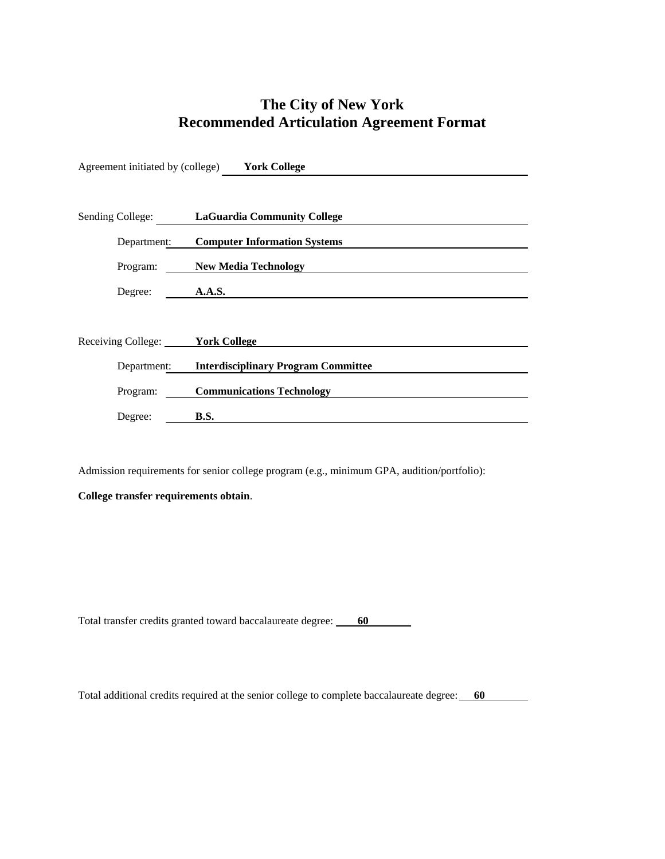## **The City of New York Recommended Articulation Agreement Format**

|                                        | Agreement initiated by (college) Vork College |
|----------------------------------------|-----------------------------------------------|
|                                        |                                               |
|                                        | Sending College: LaGuardia Community College  |
| Department:                            | <b>Computer Information Systems</b>           |
| Program:                               | <b>New Media Technology</b>                   |
| Degree:                                | A.A.S.                                        |
|                                        |                                               |
| Receiving College: <b>York College</b> |                                               |
| Department:                            | <b>Interdisciplinary Program Committee</b>    |
| Program:                               | <b>Communications Technology</b>              |
| Degree:                                | <b>B.S.</b>                                   |

Admission requirements for senior college program (e.g., minimum GPA, audition/portfolio):

**College transfer requirements obtain**.

Total transfer credits granted toward baccalaureate degree: 60

Total additional credits required at the senior college to complete baccalaureate degree: 60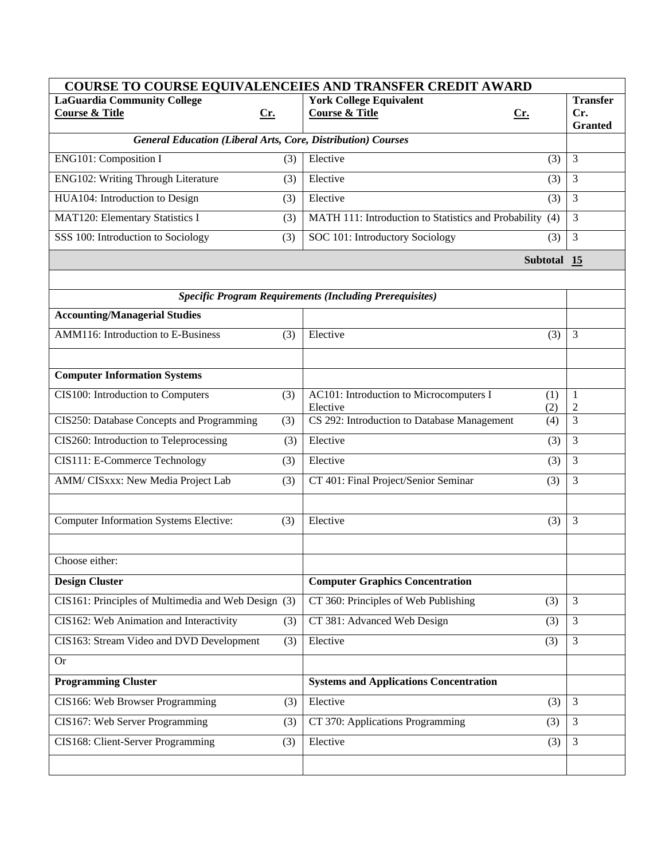| COURSE TO COURSE EQUIVALENCEIES AND TRANSFER CREDIT AWARD           |     |                                                                       |                     |  |
|---------------------------------------------------------------------|-----|-----------------------------------------------------------------------|---------------------|--|
| <b>LaGuardia Community College</b>                                  |     | <b>York College Equivalent</b>                                        | <b>Transfer</b>     |  |
| <b>Course &amp; Title</b>                                           | Cr. | <b>Course &amp; Title</b><br><u>Cr.</u>                               | Cr.                 |  |
| <b>General Education (Liberal Arts, Core, Distribution) Courses</b> |     |                                                                       | <b>Granted</b>      |  |
|                                                                     |     |                                                                       |                     |  |
| ENG101: Composition I                                               | (3) | Elective<br>(3)                                                       | $\mathfrak{Z}$      |  |
| ENG102: Writing Through Literature                                  | (3) | Elective<br>(3)                                                       | 3                   |  |
| HUA104: Introduction to Design                                      | (3) | Elective<br>(3)                                                       | 3                   |  |
| MAT120: Elementary Statistics I                                     | (3) | MATH 111: Introduction to Statistics and Probability (4)              | 3                   |  |
| SSS 100: Introduction to Sociology                                  | (3) | SOC 101: Introductory Sociology<br>(3)                                | 3                   |  |
|                                                                     |     | Subtotal 15                                                           |                     |  |
|                                                                     |     |                                                                       |                     |  |
|                                                                     |     | <b>Specific Program Requirements (Including Prerequisites)</b>        |                     |  |
| <b>Accounting/Managerial Studies</b>                                |     |                                                                       |                     |  |
| AMM116: Introduction to E-Business                                  | (3) | Elective<br>(3)                                                       | 3                   |  |
|                                                                     |     |                                                                       |                     |  |
| <b>Computer Information Systems</b>                                 |     |                                                                       |                     |  |
| CIS100: Introduction to Computers                                   | (3) | AC101: Introduction to Microcomputers I<br>(1)                        | 1                   |  |
| CIS250: Database Concepts and Programming                           |     | Elective<br>(2)<br>CS 292: Introduction to Database Management<br>(4) | 2<br>$\overline{3}$ |  |
|                                                                     | (3) |                                                                       |                     |  |
| CIS260: Introduction to Teleprocessing                              | (3) | Elective<br>(3)                                                       | 3                   |  |
| CIS111: E-Commerce Technology                                       | (3) | Elective<br>(3)                                                       | 3                   |  |
| AMM/ CISxxx: New Media Project Lab                                  | (3) | CT 401: Final Project/Senior Seminar<br>(3)                           | 3                   |  |
|                                                                     |     |                                                                       |                     |  |
| <b>Computer Information Systems Elective:</b>                       | (3) | Elective<br>(3)                                                       | $\overline{3}$      |  |
|                                                                     |     |                                                                       |                     |  |
| Choose either:                                                      |     |                                                                       |                     |  |
| <b>Design Cluster</b>                                               |     | <b>Computer Graphics Concentration</b>                                |                     |  |
| CIS161: Principles of Multimedia and Web Design (3)                 |     | CT 360: Principles of Web Publishing<br>(3)                           | 3                   |  |
| CIS162: Web Animation and Interactivity                             | (3) | CT 381: Advanced Web Design<br>(3)                                    | 3                   |  |
| CIS163: Stream Video and DVD Development                            | (3) | Elective<br>(3)                                                       | 3                   |  |
| <b>Or</b>                                                           |     |                                                                       |                     |  |
| <b>Programming Cluster</b>                                          |     | <b>Systems and Applications Concentration</b>                         |                     |  |
| CIS166: Web Browser Programming                                     | (3) | Elective<br>(3)                                                       | $\overline{3}$      |  |
| CIS167: Web Server Programming                                      | (3) | CT 370: Applications Programming<br>(3)                               | 3                   |  |
| CIS168: Client-Server Programming                                   | (3) | Elective<br>(3)                                                       | 3                   |  |
|                                                                     |     |                                                                       |                     |  |
|                                                                     |     |                                                                       |                     |  |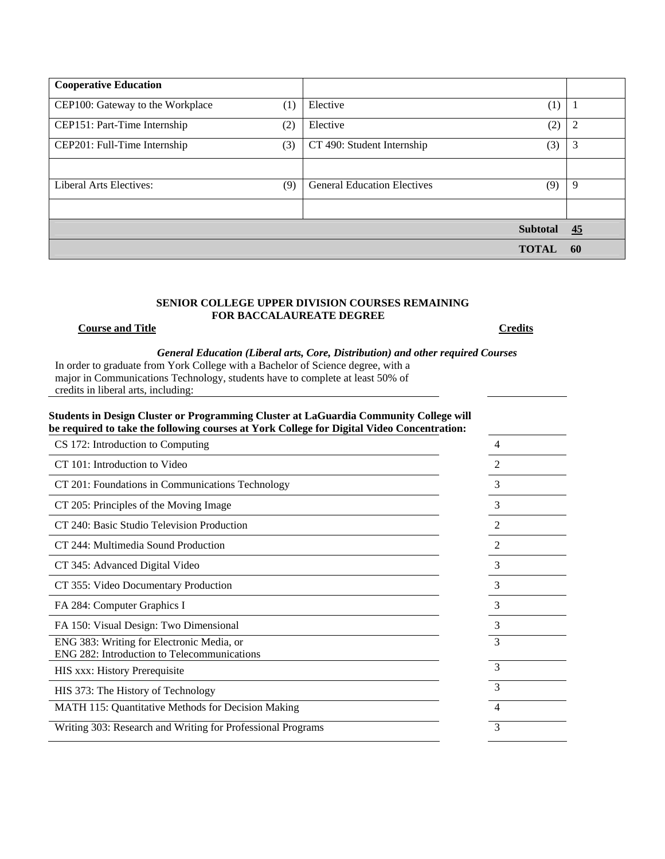| <b>Cooperative Education</b>     |     |                                    |                 |                |
|----------------------------------|-----|------------------------------------|-----------------|----------------|
| CEP100: Gateway to the Workplace | (1) | Elective                           | (1)             |                |
| CEP151: Part-Time Internship     | (2) | Elective                           | (2)             | $\overline{2}$ |
| CEP201: Full-Time Internship     | (3) | CT 490: Student Internship         | (3)             | 3              |
|                                  |     |                                    |                 |                |
| Liberal Arts Electives:          | (9) | <b>General Education Electives</b> | (9)             | 9              |
|                                  |     |                                    |                 |                |
|                                  |     |                                    | <b>Subtotal</b> | 45             |
|                                  |     |                                    | <b>TOTAL</b>    | 60             |
|                                  |     |                                    |                 |                |

### **SENIOR COLLEGE UPPER DIVISION COURSES REMAINING FOR BACCALAUREATE DEGREE**

## **Course and Title Credits**

*General Education (Liberal arts, Core, Distribution) and other required Courses* 

In order to graduate from York College with a Bachelor of Science degree, with a major in Communications Technology, students have to complete at least 50% of credits in liberal arts, including:

## **Students in Design Cluster or Programming Cluster at LaGuardia Community College will be required to take the following courses at York College for Digital Video Concentration:**

| CS 172: Introduction to Computing                                                        | 4 |
|------------------------------------------------------------------------------------------|---|
| CT 101: Introduction to Video                                                            | 2 |
| CT 201: Foundations in Communications Technology                                         | 3 |
| CT 205: Principles of the Moving Image                                                   | 3 |
| CT 240: Basic Studio Television Production                                               | 2 |
| CT 244: Multimedia Sound Production                                                      | 2 |
| CT 345: Advanced Digital Video                                                           | 3 |
| CT 355: Video Documentary Production                                                     | 3 |
| FA 284: Computer Graphics I                                                              | 3 |
| FA 150: Visual Design: Two Dimensional                                                   | 3 |
| ENG 383: Writing for Electronic Media, or<br>ENG 282: Introduction to Telecommunications | 3 |
| HIS xxx: History Prerequisite                                                            | 3 |
| HIS 373: The History of Technology                                                       | 3 |
| MATH 115: Quantitative Methods for Decision Making                                       | 4 |
| Writing 303: Research and Writing for Professional Programs                              | 3 |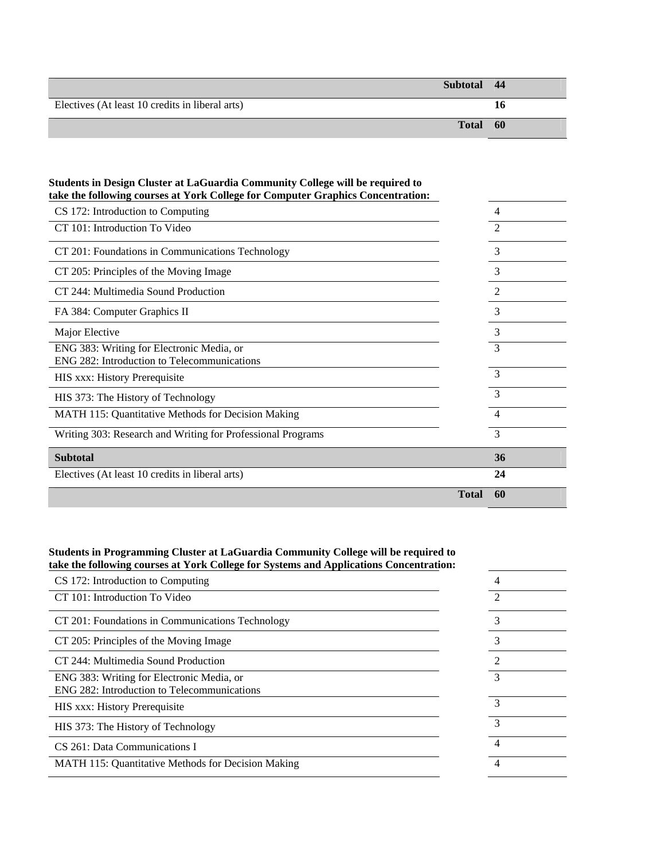| Subtotal 44                                     |              |      |  |
|-------------------------------------------------|--------------|------|--|
| Electives (At least 10 credits in liberal arts) |              | 10   |  |
|                                                 | <b>Total</b> | - 60 |  |

| take the following courses at York College for Computer Graphics Concentration:          |                    |
|------------------------------------------------------------------------------------------|--------------------|
| CS 172: Introduction to Computing                                                        | $\overline{4}$     |
| CT 101: Introduction To Video                                                            | $\mathfrak{D}$     |
| CT 201: Foundations in Communications Technology                                         | 3                  |
| CT 205: Principles of the Moving Image                                                   | 3                  |
| CT 244: Multimedia Sound Production                                                      | 2                  |
| FA 384: Computer Graphics II                                                             | 3                  |
| Major Elective                                                                           | 3                  |
| ENG 383: Writing for Electronic Media, or<br>ENG 282: Introduction to Telecommunications | 3                  |
| HIS xxx: History Prerequisite                                                            | 3                  |
| HIS 373: The History of Technology                                                       | 3                  |
| MATH 115: Quantitative Methods for Decision Making                                       | $\overline{4}$     |
| Writing 303: Research and Writing for Professional Programs                              | 3                  |
| <b>Subtotal</b>                                                                          | 36                 |
| Electives (At least 10 credits in liberal arts)                                          | 24                 |
|                                                                                          | <b>Total</b><br>60 |

# **Students in Design Cluster at LaGuardia Community College will be required to**

## **Students in Programming Cluster at LaGuardia Community College will be required to take the following courses at York College for Systems and Applications Concentration:**

| CS 172: Introduction to Computing                                                        | 4              |  |
|------------------------------------------------------------------------------------------|----------------|--|
| CT 101: Introduction To Video                                                            | $\mathfrak{D}$ |  |
| CT 201: Foundations in Communications Technology                                         |                |  |
| CT 205: Principles of the Moving Image                                                   | 3              |  |
| CT 244: Multimedia Sound Production                                                      |                |  |
| ENG 383: Writing for Electronic Media, or<br>ENG 282: Introduction to Telecommunications |                |  |
| HIS xxx: History Prerequisite                                                            | 3              |  |
| HIS 373: The History of Technology                                                       | $\mathcal{R}$  |  |
| CS 261: Data Communications I                                                            | 4              |  |
| <b>MATH 115: Quantitative Methods for Decision Making</b>                                | 4              |  |
|                                                                                          |                |  |